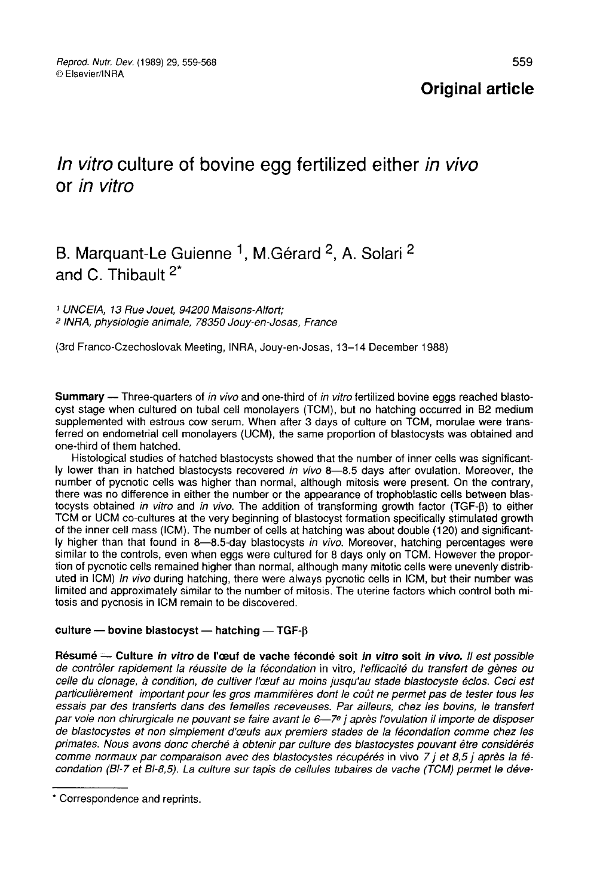### **Original article**

# In vitro culture of bovine egg fertilized either in vivo or in vitro

# B. Marquant-Le Guienne <sup>1</sup>, M.Gérard <sup>2</sup>, A. Solari <sup>2</sup> and C. Thibault  $2^*$

<sup>1</sup> UNCEIA, 13 Rue Jouet, 94200 Maisons-Alfort; 2 INRA, physiologie animale, 78350 Jouy-en-Josas, France

(3rd Franco-Czechoslovak Meeting, INRA, Jouy-en-Josas, 13-14 December 1988)

Summary — Three-quarters of in vivo and one-third of in vitro fertilized bovine eggs reached blastocyst stage when cultured on tubal cell monolayers (TCM), but no hatching occurred in B2 medium supplemented with estrous cow serum. When after 3 days of culture on TCM, morulae were transferred on endometrial cell monolayers (UCM), the same proportion of blastocysts was obtained and one-third of them hatched.

Histological studies of hatched blastocysts showed that the number of inner cells was significantly lower than in hatched blastocysts recovered in vivo 8-8.5 days after ovulation. Moreover, the number of pycnotic cells was higher than normal, although mitosis were present. On the contrary, there was no difference in either the number or the appearance of trophobiastic cells between blastocysts obtained in vitro and in vivo. The addition of transforming growth factor (TGF- $\beta$ ) to either TCM or UCM co-cultures at the very beginning of blastocyst formation specifically stimulated growth of the inner cell mass (ICM). The number of cells at hatching was about double (120) and significantly higher than that found in 8-8.5-day blastocysts in vivo. Moreover, hatching percentages were similar to the controls, even when eggs were cultured for 8 days only on TCM. However the proportion of pycnotic cells remained higher than normal, although many mitotic cells were unevenly distributed in ICM) In vivo during hatching, there were always pycnotic cells in ICM, but their number was limited and approximately similar to the number of mitosis. The uterine factors which control both mitosis and pycnosis in ICM remain to be discovered.

#### culture - bovine blastocyst - hatching - TGF- $\beta$

Résumé - Culture in vitro de l'œuf de vache fécondé soit in vitro soit in vivo. Il est possible de contrôler rapidement la réussite de la fécondation in vitro, l'efficacité du transfert de gènes ou celle du clonage, à condition, de cultiver l'oeuf au moins jusqu'au stade blastocyste éclos. Ceci est particulièrement important pour les gros mammifères dont le coût ne permet pas de tester tous les essais par des transferts dans des femelles receveuses. Par ailleurs, chez les bovins, le transfert par voie non chirurgicale ne pouvant se faire avant le 6-7e j après l'ovulation il importe de disposer de blastocystes et non simplement d'œufs aux premiers stades de la fécondation comme chez les primates. Nous avons donc cherché à obtenir par culture des blastocystes pouvant être considérés comme normaux par comparaison avec des blastocystes récupérés in vivo  $7$  j et 8,5 j après la fécondation (BI-7 et BI-8,5). La culture sur tapis de cellules tubaires de vache (TCM) permet le déve-

Correspondence and reprints.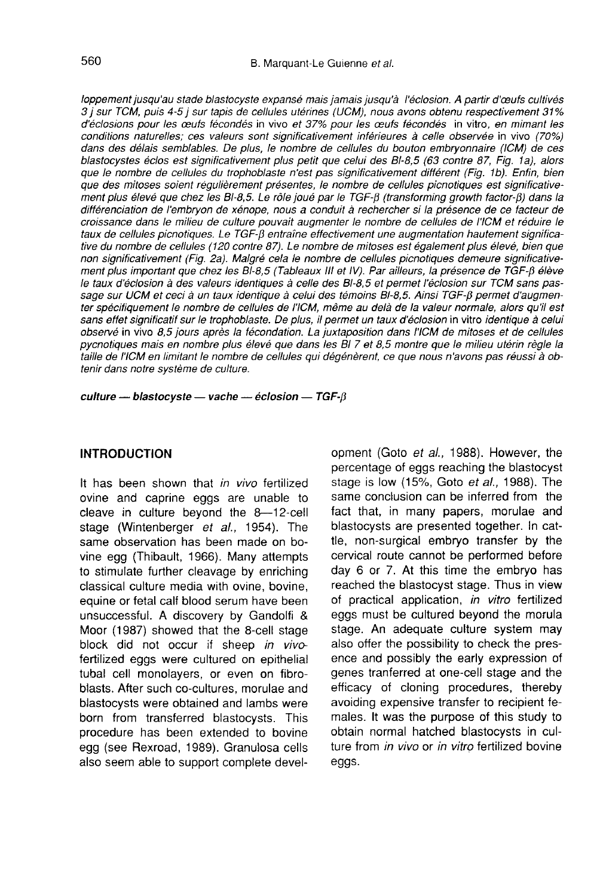loppement jusqu'au stade blastocyste expansé mais jamais jusqu'à l'éclosion. A partir d'œufs cultivés 3 j sur TCM, puis 4-5 j sur tapis de cellules utérines (UCM), nous avons obtenu respectivement 3i% d'éclosions pour les oeufs fécondés in vivo et 37% pour les ceufs fécondés in vitro, en mimant les 3 j sur TCM, puis 4-5 j sur tapis de cellules utérines (UCM), nous avons obtenu respectivement 31%<br>d'éclosions pour les œufs fécondés in vivo et 37% pour les œufs fécondés in vitro, en mimant les<br>conditions naturelles; ces dans des délais semblables. De plus, le nombre de cellules du bouton embryonnaire (ICM) de ces blastocystes éclos est significativement plus petit que celui des BI-8,5 (63 contre 87, Fig. la), alors que le nombre de cellules du trophoblaste n'est pas significativement différent (Fig. 16). Enfin, bien que des mitoses soient régulièrement présentes, le nombre de cellules picnotiques est significativement plus élevé que chez les BI-8,5. Le rôle joué par le TGF-ß (transforming growth factor-ß) dans la différenciation de l'embryon de xénope, nous a conduit à rechercher si la présence de ce facteur de croissance dans le milieu de culture pouvait augmenter le nombre de cellules de l'ICM et réduire le taux de cellules picnotiques. Le TGF-ß entraîne effectivement une augmentation hautement significative du nombre de cellules (120 contre 87). Le nombre de mitoses est également plus élevé, bien que non significativement (Fig. 2a). Malgré cela le nombre de cellules picnotiques demeure significative ment plus important que chez les BI-8,5 (Tableaux III et IV). Par ailleurs, la présence de TGF-ß élève le taux d'éclosion à des valeurs identiques à celle des 81-8,5 et permet l'éclosion sur TCM sans passage sur UCM et ceci à un taux identique à celui des témoins BI-8,5. Ainsi TGF-ß permet d'augmen-<br>ter spécifiquement le nombre de cellules de l'ICM, même au delà de la valeur normale, alors qu'il est sans effet significatif sur le trophoblaste. De plus, il permet un taux d'éclosion in vitro identique à celui observé in vivo 8,5 jours après la fécondation. La juxtaposition dans l'ICM de mitoses et de cellules pycnotiques mais en nombre plus élevé que dans les Bi 7 et 8,5 montre que le milieu utérin règle la taille de l'ICM en limitant le nombre de cellules qui dégénèrent, ce que nous n'avons pas réussi à obtenir dans notre système de culture.

culture — blastocyste — vache — éclosion — TGF- $\beta$ 

### INTRODUCTION

It has been shown that in vivo fertilized ovine and caprine eggs are unable to cleave in culture beyond the 8―12―cell stage (Wintenberger et al., 1954). The same observation has been made on bovine egg (Thibault, 1966). Many attempts to stimulate further cleavage by enriching classical culture media with ovine, bovine, equine or fetal calf blood serum have been unsuccessful. A discovery by Gandolfi & Moor (1987) showed that the 8-cell stage block did not occur if sheep in vivofertilized eggs were cultured on epithelial tubal cell monolayers, or even on fibroblasts. After such co-cultures, morulae and blastocysts were obtained and lambs were born from transferred blastocysts. This procedure has been extended to bovine egg (see Rexroad, 1989). Granulosa cells also seem able to support complete development (Goto et al., 1988). However, the percentage of eggs reaching the blastocyst stage is low (15%, Goto ef al., 1988). The same conclusion can be inferred from the fact that, in many papers, morulae and blastocysts are presented together. In cattle, non-surgical embryo transfer by the cervical route cannot be performed before day 6 or 7. At this time the embryo has reached the blastocyst stage. Thus in view of practical application, in vitro fertilized eggs must be cultured beyond the morula stage. An adequate culture system may also offer the possibility to check the presence and possibly the early expression of genes tranferred at one-cell stage and the efficacy of cloning procedures, thereby avoiding expensive transfer to recipient females. It was the purpose of this study to obtain normal hatched blastocysts in culture from in vivo or in vitro fertilized bovine eggs.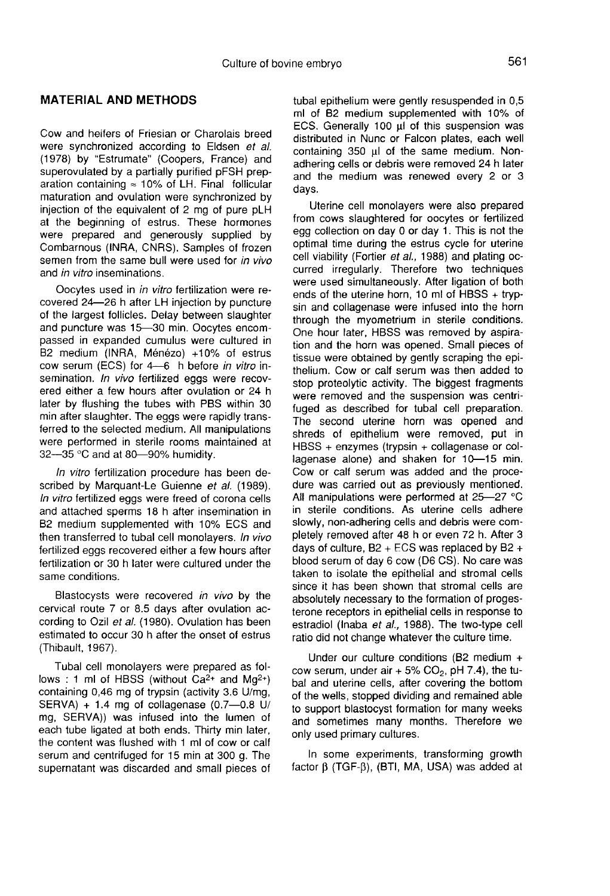#### MATERIAL AND METHODS

Cow and heifers of Friesian or Charolais breed were synchronized according to Eldsen et al. (1978) by "Estrumate" (Coopers, France) and superovulated by a partially purified pFSH preparation containing  $\approx$  10% of LH. Final follicular maturation and ovulation were synchronized by injection of the equivalent of 2 mg of pure pLH at the beginning of estrus. These hormones were prepared and generously supplied by Combarnous (INRA, CNRS). Samples of frozen semen from the same bull were used for in vivo and in vitro inseminations.

Oocytes used in in vitro fertilization were recovered 24―26 h after LH injection by puncture of the largest follicles. Delay between slaughter and puncture was 15―30 min. Oocytes encompassed in expanded cumulus were cultured in B2 medium (INRA, Ménézo) +10% of estrus cow serum (ECS) for 4―6 h before in vitro insemination. In vivo fertilized eggs were recovered either a few hours after ovulation or 24 h later by flushing the tubes with PBS within 30 min after slaughter. The eggs were rapidly transferred to the selected medium. All manipulations were performed in sterile rooms maintained at 32-35 °C and at 80-90% humidity.

In vitro fertilization procedure has been described by Marquant-Le Guienne et al. (1989). In vitro fertilized eggs were freed of corona cells and attached sperms 18 h after insemination in B2 medium supplemented with 10% ECS and then transferred to tubal cell monolayers. In vivo fertilized eggs recovered either a few hours after fertilization or 30 h later were cultured under the same conditions.

Blastocysts were recovered in vivo by the cervical route 7 or 8.5 days after ovulation according to Ozil et al. (1980). Ovulation has been estimated to occur 30 h after the onset of estrus (Thibault, 1967).

Tubal cell monolayers were prepared as follows : 1 ml of HBSS (without  $Ca^{2+}$  and  $Ma^{2+}$ ) containing 0,46 mg of trypsin (activity 3.6 U/mg, SERVA) + 1.4 mg of collagenase (0.7―0.8 U/ mg, SERVA)) was infused into the lumen of each tube ligated at both ends. Thirty min later, the content was flushed with 1 ml of cow or calf serum and centrifuged for 15 min at 300 g. The supernatant was discarded and small pieces of tubal epithelium were gently resuspended in 0,5 ml of B2 medium supplemented with 10% of ECS. Generally 100 ul of this suspension was distributed in Nunc or Falcon plates, each well containing 350 ul of the same medium. Nonadhering cells or debris were removed 24 h later and the medium was renewed every 2 or 3 days.

Uterine cell monolayers were also prepared from cows slaughtered for oocytes or fertilized egg collection on day 0 or day 1. This is not the optimal time during the estrus cycle for uterine cell viability (Fortier et al., 1988) and plating occurred irregularly. Therefore two techniques were used simultaneously. After ligation of both ends of the uterine horn, 10 ml of HBSS + trypsin and collagenase were infused into the horn through the myometrium in sterile conditions. One hour later, HBSS was removed by aspiration and the horn was opened. Small pieces of tissue were obtained by gently scraping the epithelium. Cow or calf serum was then added to stop proteolytic activity. The biggest fragments were removed and the suspension was centrifuged as described for tubal cell preparation. The second uterine horn was opened and shreds of epithelium were removed, put in HBSS + enzymes (trypsin + collagenase or collagenase alone) and shaken for 10-15 min. Cow or calf serum was added and the procedure was carried out as previously mentioned. All manipulations were performed at 25―27 °C in sterile conditions. As uterine cells adhere slowly, non-adhering cells and debris were completely removed after 48 h or even 72 h. After 3 days of culture,  $B2 + ECS$  was replaced by  $B2 +$ blood serum of day 6 cow (D6 CS). No care was taken to isolate the epithelial and stromal cells since it has been shown that stromal cells are absolutely necessary to the formation of proges terone receptors in epithelial cells in response to estradiol (Inaba et al., 1988). The two-type cell ratio did not change whatever the culture time.

Under our culture conditions (B2 medium + cow serum, under air  $+5\%$  CO<sub>2</sub>, pH 7.4), the tubal and uterine cells, after covering the bottom of the wells, stopped dividing and remained able to support blastocyst formation for many weeks and sometimes many months. Therefore we only used primary cultures.

In some experiments, transforming growth factor  $\beta$  (TGF- $\beta$ ), (BTI, MA, USA) was added at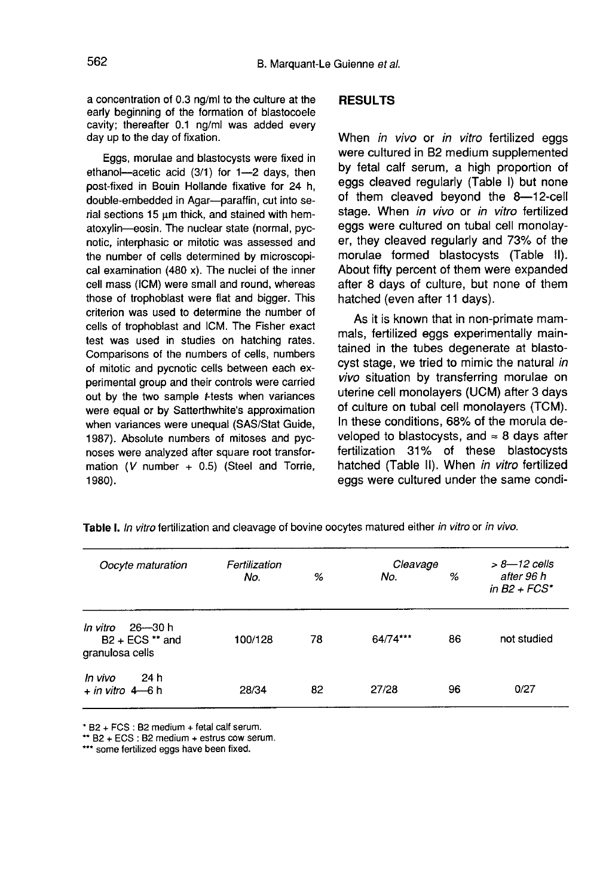a concentration of 0.3 ng/ml to the culture at the early beginning of the formation of blastocoele cavity; thereafter 0.1 ng/ml was added every day up to the day of fixation.

Eggs, morulae and blastocysts were fixed in ethanol―acetic acid (3/1) for 1―2 days, then post-fixed in Bouin Hollande fixative for 24 h, double-embedded in Agar―paraffin, cut into serial sections 15  $\mu$ m thick, and stained with hematoxylin―eosin. The nuclear state (normal, pycnotic, interphasic or mitotic was assessed and the number of cells determined by microscopical examination (480 x). The nuclei of the inner cell mass (ICM) were small and round, whereas those of trophoblast were flat and bigger. This criterion was used to determine the number of cells of trophoblast and ICM. The Fisher exact test was used in studies on hatching rates. Comparisons of the numbers of cells, numbers of mitotic and pycnotic cells between each experimental group and their controls were carried out by the two sample t-tests when variances were equal or by Satterthwhite's approximation when variances were unequal (SAS/Stat Guide, 1987). Absolute numbers of mitoses and pycnoses were analyzed after square root transformation (V number  $+$  0.5) (Steel and Torrie, 1980).

#### RESULTS

When *in vivo* or *in vitro* fertilized eggs were cultured in B2 medium supplemented by fetal calf serum, a high proportion of eggs cleaved regularly (Table I) but none of them cleaved beyond the 8―12―cell stage. When in vivo or in vitro fertilized eggs were cultured on tubal cell monolayer, they cleaved regularly and 73% of the morulae formed blastocysts (Table II). About fifty percent of them were expanded after 8 days of culture, but none of them hatched (even after 11 days).

As it is known that in non-primate mammals, fertilized eggs experimentally maintained in the tubes degenerate at blastocyst stage, we tried to mimic the natural in vivo situation by transferring morulae on uterine cell monolayers (UCM) after 3 days of culture on tubal cell monolayers (TCM). In these conditions, 68% of the morula developed to blastocysts, and  $\approx$  8 days after fertilization 31% of these blastocysts hatched (Table II). When in vitro fertilized eggs were cultured under the same condi-

| Oocyte maturation                                           | Fertilization |    | Cleavage | $> 8 - 12$ cells |                               |
|-------------------------------------------------------------|---------------|----|----------|------------------|-------------------------------|
|                                                             | No.           | %  | No.      | %                | after 96 h<br>in $B2 + FCS^*$ |
| 26—30 h<br>In vitro<br>$B2 + ECS$ ** and<br>granulosa cells | 100/128       | 78 | 64/74*** | 86               | not studied                   |
| 24 h<br>In vivo<br>$+$ in vitro 4 – 6 h                     | 28/34         | 82 | 27/28    | 96               | 0/27                          |

Table I. In vitro fertilization and cleavage of bovine oocytes matured either in vitro or in vivo.

\* B2 + FCS : B2 medium + fetal calf serum.

\*\* B2 + ECS : B2 medium + estrus cow serum.

\*\*\* some fertilized eggs have been fixed.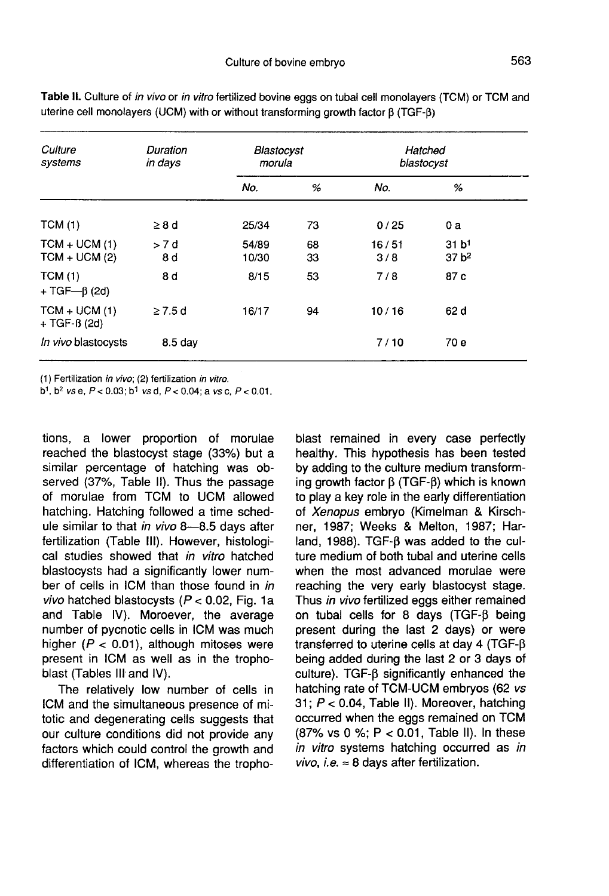| Culture<br>systems                 | Duration<br>in days | Blastocyst<br>morula |          | Hatched<br>blastocyst |                                        |  |
|------------------------------------|---------------------|----------------------|----------|-----------------------|----------------------------------------|--|
|                                    |                     | No.                  | %        | No.                   | %                                      |  |
| TCM(1)                             | $\geq 8$ d          | 25/34                | 73       | 0/25                  | 0a                                     |  |
| $TCM + UCM (1)$<br>$TCM + UCM (2)$ | > 7 d<br>8 d        | 54/89<br>10/30       | 68<br>33 | 16/51<br>3/8          | 31 b <sup>1</sup><br>37 <sub>b</sub> 2 |  |
| TCM(1)<br>$+ TGF - \beta (2d)$     | 8 d                 | 8/15                 | 53       | 7/8                   | 87 c                                   |  |
| $TCM + UCM (1)$<br>$+ TGF-B (2d)$  | $\geq 7.5$ d        | 16/17                | 94       | 10/16                 | 62 d                                   |  |
| In vivo blastocysts                | $8.5$ day           |                      |          | 7/10                  | 70 e                                   |  |

Table II. Culture of in vivo or in vitro fertilized bovine eggs on tubal cell monolayers (TCM) or TCM and uterine cell monolayers (UCM) with or without transforming growth factor B (TGF-B)

(1) Fertilization in vivo; (2) fertilization in vitro.

 $b^1$ ,  $b^2$  vs e,  $P < 0.03$ ;  $b^1$  vs d,  $P < 0.04$ ; a vs c,  $P < 0.01$ .

tions, a lower proportion of morulae reached the blastocyst stage (33%) but a similar percentage of hatching was observed (37%, Table II). Thus the passage of morulae from TCM to UCM allowed hatching. Hatching followed a time schedule similar to that in vivo 8-8.5 days after fertilization (Table III). However, histological studies showed that in vitro hatched blastocysts had a significantly lower number of cells in ICM than those found in in vivo hatched blastocysts ( $P < 0.02$ , Fig. 1a and Table IV). Moroever, the average number of pycnotic cells in ICM was much higher ( $P < 0.01$ ), although mitoses were present in ICM as well as in the trophoblast (Tables III and IV).

The relatively low number of cells in ICM and the simultaneous presence of mitotic and degenerating cells suggests that our culture conditions did not provide any factors which could control the growth and differentiation of ICM, whereas the trophoblast remained in every case perfectly healthy. This hypothesis has been tested by adding to the culture medium transforming growth factor  $\beta$  (TGF- $\beta$ ) which is known to play a key role in the early differentiation of Xenopus embryo (Kimelman & Kirschner, 1987; Weeks & Melton, 1987; Harland, 1988). TGF-B was added to the culture medium of both tubal and uterine cells when the most advanced morulae were reaching the very early blastocyst stage. Thus in vivo fertilized eggs either remained on tubal cells for 8 days (TGF- $\beta$  being present during the last 2 days) or were transferred to uterine cells at day 4 (TGF- $\beta$ being added during the last 2 or 3 days of culture). TGF- $\beta$  significantly enhanced the hatching rate of TCM-UCM embryos (62 vs 31;  $P < 0.04$ , Table II). Moreover, hatching occurred when the eggs remained on TCM (87% vs 0 %; P < 0.01, Table II). In these in vitro systems hatching occurred as in vivo, i.e.  $\approx$  8 days after fertilization.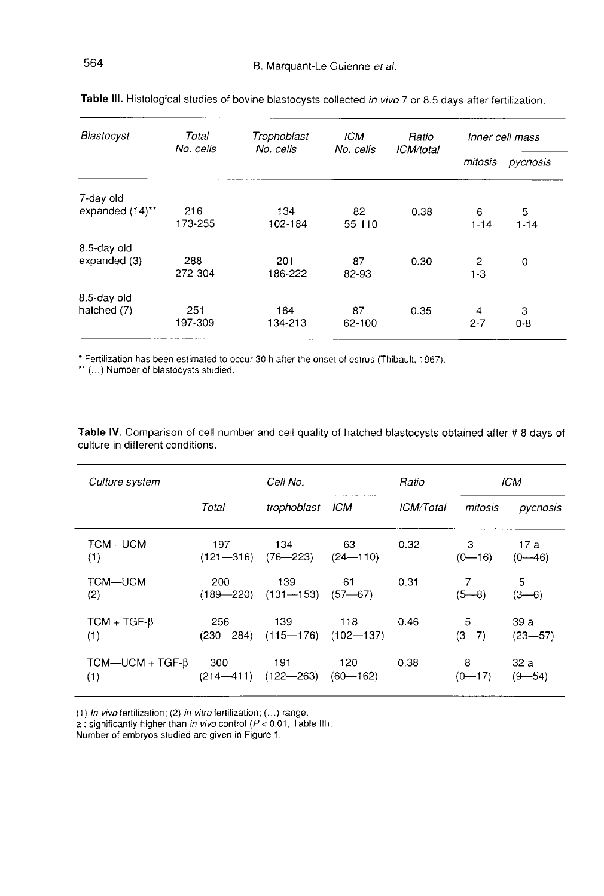| Blastocyst      | Total<br>No. cells | Trophoblast<br>No. cells | ICM<br>No. cells | Ratio<br>ICM/total | Inner cell mass |               |
|-----------------|--------------------|--------------------------|------------------|--------------------|-----------------|---------------|
|                 |                    |                          |                  |                    | mitosis         | pycnosis      |
| 7-day old       |                    |                          |                  |                    |                 |               |
| expanded (14)** | 216<br>173-255     | 134<br>102-184           | 82<br>55-110     | 0.38               | 6<br>$1 - 14$   | 5<br>$1 - 14$ |
| 8.5-day old     |                    |                          |                  |                    |                 |               |
| expanded (3)    | 288<br>272-304     | 201<br>186-222           | 87<br>82-93      | 0.30               | 2<br>$1 - 3$    | 0             |
| 8.5-day old     |                    |                          |                  |                    |                 |               |
| hatched (7)     | 251<br>197-309     | 164<br>134-213           | 87<br>62-100     | 0.35               | 4<br>$2 - 7$    | 3<br>$0 - 8$  |

| Table III. Histological studies of bovine blastocysts collected in vivo 7 or 8.5 days after fertilization. |  |  |
|------------------------------------------------------------------------------------------------------------|--|--|
|------------------------------------------------------------------------------------------------------------|--|--|

\* Fertilization has been estimated to occur 30 h after the onset of estrus (Thibault, 1967).<br>\*\* (...) Number of blastocysts studied.

Table IV. Comparison of cell number and cell quality of hatched blastocysts obtained after # 8 days of culture in different conditions.

| Culture system                   | Cell No.                          |                                    |                     | Ratio                   | <b>ICM</b>      |                    |
|----------------------------------|-----------------------------------|------------------------------------|---------------------|-------------------------|-----------------|--------------------|
|                                  | Total                             | trophoblast                        | ICM                 | <i><b>ICM/Total</b></i> | mitosis         | pycnosis           |
| TCM-UCM<br>(1)                   | 197<br>$(121 - 316)$ $(76 - 223)$ | 134                                | 63<br>$(24 - 110)$  | 0.32                    | 3<br>$(0 - 16)$ | 17 a<br>$(0 - 46)$ |
| TCM-UCM<br>(2)                   | 200<br>$(189 - 220)$              | 139<br>$(131 - 153)$               | 61<br>$(57 - 67)$   | 0.31                    | $(5 - 8)$       | 5<br>$(3-6)$       |
| $TCM + TGF-B$<br>(1)             | 256<br>$(230 - 284)$              | 139<br>$(115 - 176)$ $(102 - 137)$ | 118                 | 0.46                    | 5<br>$(3 - 7)$  | 39a<br>$(23 - 57)$ |
| $TCM$ —UCM + TGF- $\beta$<br>(1) | 300<br>$(214 - 411)$              | 191<br>$(122 - 263)$               | 120<br>$(60 - 162)$ | 0.38                    | 8<br>$(0 - 17)$ | 32 a<br>$(9 - 54)$ |

(1) In vivo fertilization; (2) in vitro fertilization; (...) range.<br>a : significantly higher than in vivo control  $(P < 0.01$ , Table III).<br>Number of embryos studied are given in Figure 1.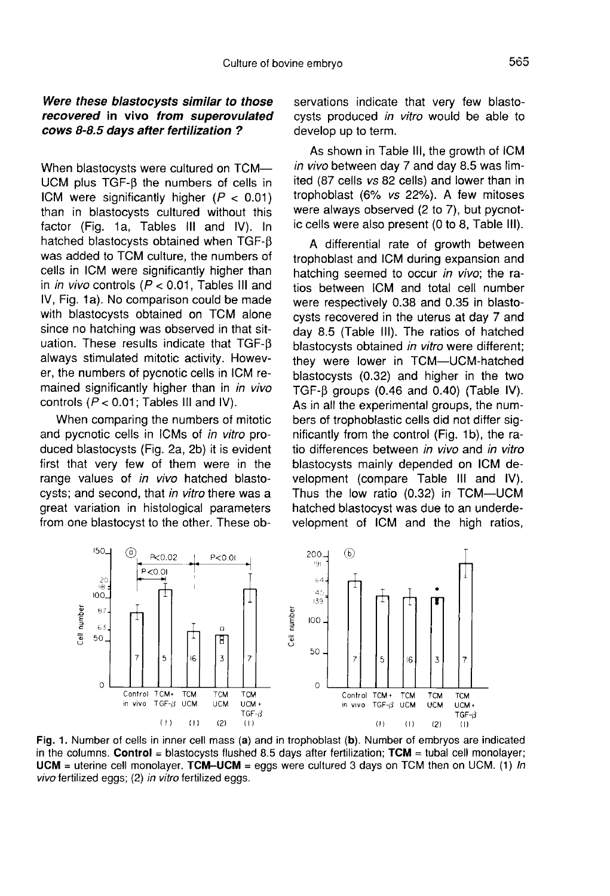# Were these blastocysts similar to those<br>recovered in vivo from superovulated cows 8-8.5 days after fertilization ?

When blastocysts were cultured on TCM― UCM plus TGF- $\beta$  the numbers of cells in ICM were significantly higher  $(P < 0.01)$ than in blastocysts cultured without this factor (Fig. 1a, Tables III and IV). In hatched blastocysts obtained when  $TGF-B$ was added to TCM culture, the numbers of cells in ICM were significantly higher than in in vivo controls ( $P < 0.01$ , Tables III and IV, Fig. 1a). No comparison could be made with blastocysts obtained on TCM alone since no hatching was observed in that situation. These results indicate that  $TGF- $\beta$$ always stimulated mitotic activity. However, the numbers of pycnotic cells in ICM remained significantly higher than in in vivo controls ( $P < 0.01$ ; Tables III and IV).

When comparing the numbers of mitotic and pycnotic cells in ICMs of in vitro produced blastocysts (Fig. 2a, 2b) it is evident first that very few of them were in the range values of in vivo hatched blastocysts; and second, that in vitro there was a great variation in histological parameters from one blastocyst to the other. These ob-

servations indicate that very few blastocysts produced in vitro would be able to develop up to term.

As shown in Table III, the growth of ICM in vivo between day 7 and day 8.5 was limited (87 cells vs 82 cells) and lower than in trophoblast (6% vs 22%). A few mitoses were always observed (2 to 7), but pycnotic cells were also present (0 to 8, Table 111).

A differential rate of growth between trophoblast and ICM during expansion and hatching seemed to occur in vivo; the ratios between ICM and total cell number were respectively 0.38 and 0.35 in blastocysts recovered in the uterus at day 7 and day 8.5 (Table 111). The ratios of hatched blastocysts obtained in vitro were different; they were lower in TCM―UCM―hatched blastocysts (0.32) and higher in the two TGF- $\beta$  groups (0.46 and 0.40) (Table IV). As in all the experimental groups, the numbers of trophoblastic cells did not differ significantly from the control (Fig. 1b), the ratio differences between in vivo and in vitro blastocysts mainly depended on ICM development (compare Table III and IV). Thus the low ratio (0.32) in TCM―UCM hatched blastocyst was due to an underdevelopment of ICM and the high ratios,



Fig. 1. Number of cells in inner cell mass (a) and in trophoblast (b). Number of embryos are indicated in the columns. Control = blastocysts flushed 8.5 days after fertilization;  $TCM =$  tubal cell monolayer; **UCM** = uterine cell monolayer. TCM-UCM = eggs were cultured 3 days on TCM then on UCM. (1) In vivo fertilized eggs; (2) in vitro fertilized eggs.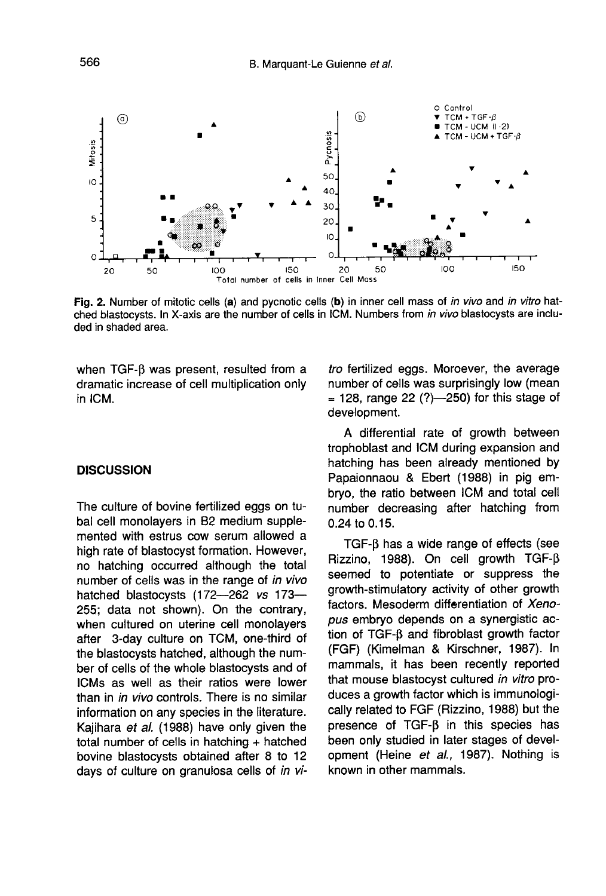

Fig. 2. Number of mitotic cells (a) and pycnotic cells (b) in inner cell mass of in vivo and in vitro hatched blastocysts. In X-axis are the number of cells in ICM. Numbers from in vivo blastocysts are included in shaded area.

when TGF- $\beta$  was present, resulted from a dramatic increase of cell multiplication only in ICM.

#### **DISCUSSION**

The culture of bovine fertilized eggs on tubal cell monolayers in B2 medium supplemented with estrus cow serum allowed a high rate of blastocyst formation. However, no hatching occurred although the total number of cells was in the range of in vivo hatched blastocysts (172―262 vs 173― 255; data not shown). On the contrary, when cultured on uterine cell monolayers after 3-day culture on TCM, one-third of the blastocysts hatched, although the number of cells of the whole blastocysts and of ICMs as well as their ratios were lower than in *in vivo* controls. There is no similar information on any species in the literature. Kajihara et al. (1988) have only given the total number of cells in hatching + hatched bovine blastocysts obtained after 8 to 12 days of culture on granulosa cells of in vitro fertilized eggs. Moroever, the average number of cells was surprisingly low (mean  $= 128$ , range 22 (?)-250) for this stage of development.

A differential rate of growth between trophoblast and ICM during expansion and hatching has been already mentioned by Papaionnaou & Ebert (1988) in pig embryo, the ratio between ICM and total cell number decreasing after hatching from 0.24 to 0.15.

TGF-B has a wide range of effects (see Rizzino, 1988). On cell growth TGF- $\beta$ seemed to potentiate or suppress the growth-stimulatory activity of other growth factors. Mesoderm differentiation of Xenopus embryo depends on a synergistic action of TGF- $\beta$  and fibroblast growth factor (FGF) (Kimelman & Kirschner, 1987). In mammals, it has been recently reported that mouse blastocyst cultured in vitro produces a growth factor which is immunologically related to FGF (Rizzino, 1988) but the presence of  $TGF- $\beta$  in this species has$ been only studied in later stages of development (Heine et al., 1987). Nothing is known in other mammals.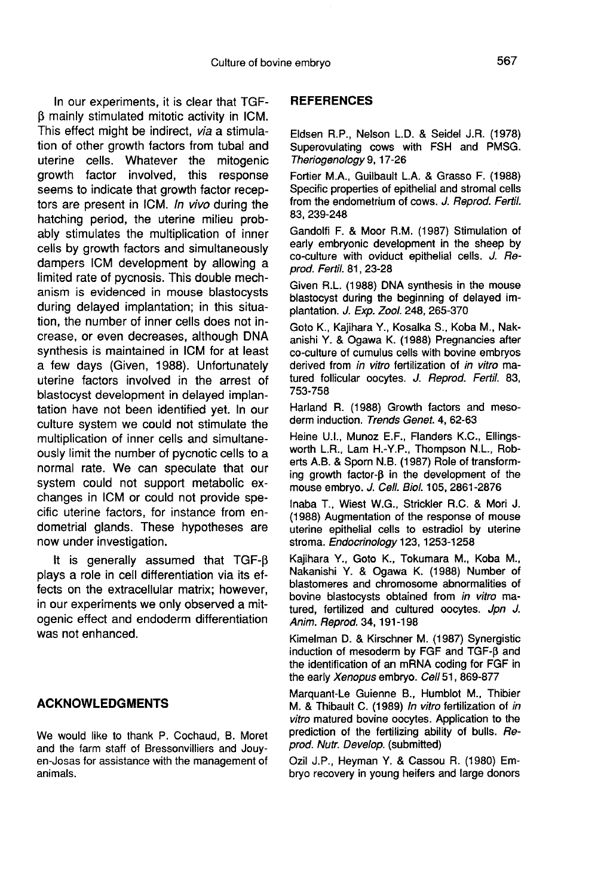In our experiments, it is clear that TGF- (3 mainly stimulated mitotic activity in ICM. This effect might be indirect, via a stimulation of other growth factors from tubal and uterine cells. Whatever the mitogenic growth factor involved, this response seems to indicate that growth factor receptors are present in ICM. In vivo during the hatching period, the uterine milieu probably stimulates the multiplication of inner cells by growth factors and simultaneously dampers ICM development by allowing a limited rate of pycnosis. This double mechanism is evidenced in mouse blastocysts during delayed implantation; in this situation, the number of inner cells does not increase, or even decreases, although DNA synthesis is maintained in ICM for at least a few days (Given, 1988). Unfortunately uterine factors involved in the arrest of blastocyst development in delayed implantation have not been identified yet. In our culture system we could not stimulate the multiplication of inner cells and simultaneously limit the number of pycnotic cells to a normal rate. We can speculate that our system could not support metabolic exchanges in ICM or could not provide specific uterine factors, for instance from endometrial glands. These hypotheses are now under investigation.

It is generally assumed that TGF- $\beta$ plays a role in cell differentiation via its effects on the extracellular matrix; however, in our experiments we only observed a mitogenic effect and endoderm differentiation was not enhanced.

#### ACKNOWLEDGMENTS

We would like to thank P. Cochaud, B. Moret and the farm staff of Bressonvilliers and Jouy en-Josas for assistance with the management of animals.

### **REFERENCES**

Eldsen R.P., Nelson L.D. & Seidel J.R. (1978) Superovulating cows with FSH and PMSG. Theriogenology 9, 17-26

Fortier M.A., Guilbault L.A. & Grasso F. (1988) Specific properties of epithelial and stromal cells from the endometrium of cows. J. Reprod. Fertil. 83,239-248

Gandolfi F. & Moor R.M. (1987) Stimulation of early embryonic development in the sheep by co-culture with oviduct epithelial cells. J. Reprod. Fertil. 81, 23-28

Given R.L. (1988) DNA synthesis in the mouse blastocyst during the beginning of delayed implantation. J. Exp. Zool. 248, 265-370

Goto K., Kajihara Y., Kosalka S., Koba M., Nakanishi Y. & Ogawa K. (1988) Pregnancies after co-culture of cumulus cells with bovine embryos derived from in vitro fertilization of in vitro matured follicular oocytes. J. Reprod. Fertil. 83, 753-758

Harland R. (1988) Growth factors and mesoderm induction. Trends Genet. 4, 62-63

Heine U.I., Munoz E.F., Flanders K.C., Ellingsworth L.R., Lam H.-Y.P., Thompson N.L., Roberts A.B. & Sporn N.B. (1987) Role of transforming growth factor- $\beta$  in the development of the mouse embryo. J. Cell. BioL 105, 2861-2876

Inaba T., Wiest W.G., Strickler R.C. & Mori J. (1988) Augmentation of the response of mouse uterine epithelial cells to estradiol by uterine stroma. Endocrinology 123, 1253-1258

Kajihara Y., Goto K., Tokumara M., Koba M., Nakanishi Y. & Ogawa K. (1988) Number of blastomeres and chromosome abnormalities of bovine blastocysts obtained from in vitro matured, fertilized and cultured oocytes. Jpn J. Anim. Reprod. 34, 191-198

Kimelman D. & Kirschner M. (1987) Synergistic induction of mesoderm by FGF and TGF-B and the identification of an mRNA coding for FGF in the early Xenopus embryo. Cell 51, 869-877

Marquant-Le Guienne B., Humblot M., Thibier M. & Thibault C. (1989) In vitro fertilization of in vitro matured bovine oocytes. Application to the prediction of the fertilizing ability of bulls. Reprod. Nutr. Develop. (submitted)

Ozil J.P., Heyman Y. & Cassou R. (1980) Embryo recovery in young heifers and large donors